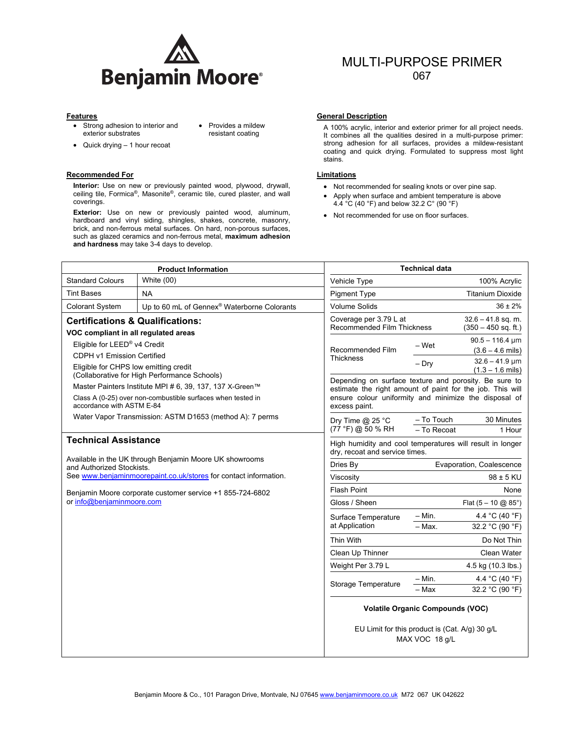

• Provides a mildew

- Strong adhesion to interior and exterior substrates
- Quick drying 1 hour recoat

#### **Recommended For Limitations**

**Interior:** Use on new or previously painted wood, plywood, drywall, ceiling tile, Formica®, Masonite®, ceramic tile, cured plaster, and wall coverings.

**Exterior:** Use on new or previously painted wood, aluminum, hardboard and vinyl siding, shingles, shakes, concrete, masonry, brick, and non-ferrous metal surfaces. On hard, non-porous surfaces, such as glazed ceramics and non-ferrous metal, **maximum adhesion and hardness** may take 3-4 days to develop.

# MULTI-PURPOSE PRIMER 067

#### **Features** General Description **Contract Contract Contract Contract Contract Contract Contract Contract Contract Contract Contract Contract Contract Contract Contract Contract Contract Contract Contract Contract Contract C**

Provides a mildew The A 100% acrylic, interior and exterior primer for all project needs.<br>The property combines all the qualities desired in a multi-purpose primer: strong adhesion for all surfaces, provides a mildew-resistant coating and quick drying. Formulated to suppress most light stains.

- Not recommended for sealing knots or over pine sap.
- Apply when surface and ambient temperature is above 4.4 °C (40 °F) and below 32.2 C° (90 °F)
- Not recommended for use on floor surfaces.

| <b>Product Information</b>                                                                                                                                                              |                                                          |                                                                                               | <b>Technical data</b>                                                                                              |                                                                                                      |  |
|-----------------------------------------------------------------------------------------------------------------------------------------------------------------------------------------|----------------------------------------------------------|-----------------------------------------------------------------------------------------------|--------------------------------------------------------------------------------------------------------------------|------------------------------------------------------------------------------------------------------|--|
| <b>Standard Colours</b>                                                                                                                                                                 | White (00)                                               | Vehicle Type                                                                                  |                                                                                                                    | 100% Acrylic                                                                                         |  |
| <b>Tint Bases</b>                                                                                                                                                                       | NA.                                                      | <b>Pigment Type</b>                                                                           |                                                                                                                    | <b>Titanium Dioxide</b>                                                                              |  |
| <b>Colorant System</b>                                                                                                                                                                  | Up to 60 mL of Gennex <sup>®</sup> Waterborne Colorants  | <b>Volume Solids</b>                                                                          |                                                                                                                    | $36 \pm 2\%$                                                                                         |  |
| <b>Certifications &amp; Qualifications:</b><br>VOC compliant in all regulated areas                                                                                                     |                                                          |                                                                                               | $32.6 - 41.8$ sq. m.<br>Coverage per 3.79 L at<br>Recommended Film Thickness<br>$(350 - 450$ sq. ft.)              |                                                                                                      |  |
| Eligible for LEED® v4 Credit<br>CDPH v1 Emission Certified<br>Eligible for CHPS low emitting credit<br>(Collaborative for High Performance Schools)                                     |                                                          | Recommended Film<br><b>Thickness</b><br>Depending on surface texture and porosity. Be sure to | - Wet                                                                                                              | $90.5 - 116.4 \,\text{\textmu m}$<br>$(3.6 - 4.6 \text{ miles})$<br>$32.6 - 41.9 \,\text{\textmu m}$ |  |
|                                                                                                                                                                                         |                                                          |                                                                                               | $-$ Dry                                                                                                            | $(1.3 - 1.6$ mils)                                                                                   |  |
| Master Painters Institute MPI # 6, 39, 137, 137 X-Green™<br>Class A (0-25) over non-combustible surfaces when tested in<br>accordance with ASTM E-84                                    |                                                          | excess paint.                                                                                 | estimate the right amount of paint for the job. This will<br>ensure colour uniformity and minimize the disposal of |                                                                                                      |  |
|                                                                                                                                                                                         | Water Vapor Transmission: ASTM D1653 (method A): 7 perms | Dry Time $@$ 25 °C<br>(77 °F) @ 50 % RH                                                       | - To Touch<br>- To Recoat                                                                                          | 30 Minutes<br>1 Hour                                                                                 |  |
| <b>Technical Assistance</b><br>Available in the UK through Benjamin Moore UK showrooms<br>and Authorized Stockists.<br>See www.benjaminmoorepaint.co.uk/stores for contact information. |                                                          |                                                                                               | High humidity and cool temperatures will result in longer<br>dry, recoat and service times.                        |                                                                                                      |  |
|                                                                                                                                                                                         |                                                          | Dries By                                                                                      | Evaporation, Coalescence                                                                                           |                                                                                                      |  |
|                                                                                                                                                                                         |                                                          | Viscosity                                                                                     |                                                                                                                    | $98 \pm 5$ KU                                                                                        |  |
| Benjamin Moore corporate customer service +1 855-724-6802<br>or info@benjaminmoore.com                                                                                                  |                                                          | <b>Flash Point</b>                                                                            |                                                                                                                    | None                                                                                                 |  |
|                                                                                                                                                                                         |                                                          | Gloss / Sheen                                                                                 |                                                                                                                    | Flat $(5 - 10 \text{ @ } 85^{\circ})$                                                                |  |
|                                                                                                                                                                                         |                                                          | Surface Temperature<br>at Application                                                         | – Min.                                                                                                             | 4.4 °C (40 °F)                                                                                       |  |
|                                                                                                                                                                                         |                                                          |                                                                                               | $-$ Max.                                                                                                           | 32.2 °C (90 °F)                                                                                      |  |
|                                                                                                                                                                                         |                                                          | Thin With                                                                                     |                                                                                                                    | Do Not Thin                                                                                          |  |
|                                                                                                                                                                                         |                                                          | Clean Up Thinner                                                                              |                                                                                                                    | Clean Water                                                                                          |  |
|                                                                                                                                                                                         |                                                          | Weight Per 3.79 L                                                                             |                                                                                                                    | 4.5 kg (10.3 lbs.)                                                                                   |  |
|                                                                                                                                                                                         |                                                          | <b>Storage Temperature</b>                                                                    | $-$ Min.                                                                                                           | 4.4 °C (40 °F)                                                                                       |  |
|                                                                                                                                                                                         |                                                          |                                                                                               | – Max                                                                                                              | 32.2 °C (90 °F)                                                                                      |  |
|                                                                                                                                                                                         |                                                          | <b>Volatile Organic Compounds (VOC)</b>                                                       |                                                                                                                    |                                                                                                      |  |
|                                                                                                                                                                                         |                                                          |                                                                                               | EU Limit for this product is (Cat. A/g) 30 g/L<br>MAX VOC 18 g/L                                                   |                                                                                                      |  |